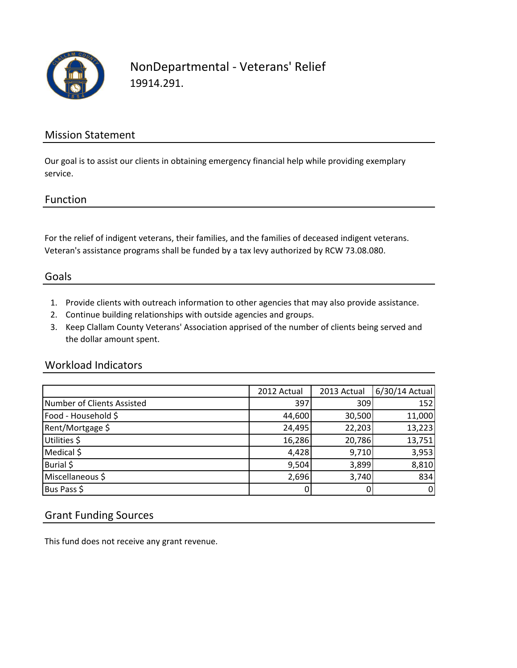

## NonDepartmental - Veterans' Relief 19914.291.

#### Mission Statement

Our goal is to assist our clients in obtaining emergency financial help while providing exemplary service.

#### Function

For the relief of indigent veterans, their families, and the families of deceased indigent veterans. Veteran's assistance programs shall be funded by a tax levy authorized by RCW 73.08.080.

#### Goals

- 1. Provide clients with outreach information to other agencies that may also provide assistance.
- 2. Continue building relationships with outside agencies and groups.
- 3. Keep Clallam County Veterans' Association apprised of the number of clients being served and the dollar amount spent.

#### Workload Indicators

|                            | 2012 Actual | 2013 Actual | 6/30/14 Actual |
|----------------------------|-------------|-------------|----------------|
| Number of Clients Assisted | 397         | 309         | 152            |
| Food - Household \$        | 44,600      | 30,500      | 11,000         |
| Rent/Mortgage \$           | 24,495      | 22,203      | 13,223         |
| Utilities \$               | 16,286      | 20,786      | 13,751         |
| Medical \$                 | 4,428       | 9,710       | 3,953          |
| Burial \$                  | 9,504       | 3,899       | 8,810          |
| Miscellaneous \$           | 2,696       | 3,740       | 834            |
| Bus Pass \$                | 0           | 0           | $\overline{0}$ |

#### Grant Funding Sources

This fund does not receive any grant revenue.